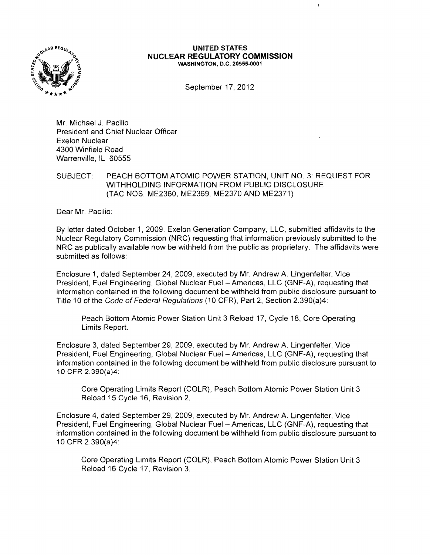

## **UNITED STATES NUCLEAR REGULATORY COMMISSION WASHINGTON,** D.C. 20555-0001

 $\mathbf{I}$ 

September 17, 2012

Mr. Michael J. Pacilio President and Chief Nuclear Officer Exelon Nuclear 4300 Winfield Road Warrenville, IL 60555

## SUBJECT: PEACH BOTTOM ATOMIC POWER STATION, UNIT NO.3: REQUEST FOR WITHHOLDING INFORMATION FROM PUBLIC DISCLOSURE (TAC NOS. ME2360, ME2369, ME2370 AND ME2371)

Dear Mr. Pacilio:

By letter dated October 1,2009, Exelon Generation Company, LLC, submitted affidavits to the Nuclear Regulatory Commission (NRC) requesting that information previously submitted to the NRC as publically available now be withheld from the public as proprietary. The affidavits were submitted as follows:

Enclosure 1, dated September 24, 2009, executed by Mr. Andrew A. Lingenfelter, Vice President, Fuel Engineering, Global Nuclear Fuel - Americas, LLC (GNF-A), requesting that information contained in the following document be withheld from public disclosure pursuant to Title 10 of the Code of Federal Regulations (10 CFR), Part 2, Section 2.390(a)4:

Peach Bottom Atomic Power Station Unit 3 Reload 17, Cycle 18, Core Operating Limits Report.

Enclosure 3, dated September 29,2009, executed by Mr. Andrew A. Lingenfelter, Vice President, Fuel Engineering, Global Nuclear Fuel - Americas, LLC (GNF-A), requesting that information contained in the following document be withheld from public disclosure pursuant to 10 CFR 2.390(a)4:

Core Operating Limits Report (COLR), Peach Bottom Atomic Power Station Unit 3 Reload 15 Cycle 16, Revision 2.

Enclosure 4, dated September 29,2009, executed by Mr. Andrew A. Lingenfelter, Vice President, Fuel Engineering, Global Nuclear Fuel - Americas, LLC (GNF-A), requesting that information contained in the following document be withheld from public disclosure pursuant to 10 CFR 2.390(a)4:

Core Operating Limits Report (COLR), Peach Bottom Atomic Power Station Unit 3 Reload 16 Cycle 17, Revision 3.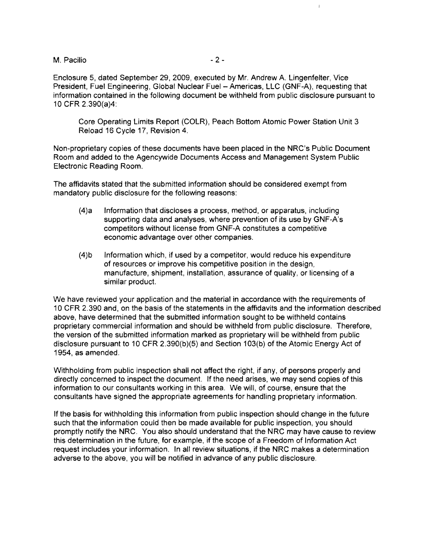M. Pacilio - 2

 $\mathbf{I}$ 

Enclosure 5, dated September 29,2009, executed by Mr. Andrew A. Lingenfelter, Vice President, Fuel Engineering, Global Nuclear Fuel - Americas, LLC (GNF-A), requesting that information contained in the following document be withheld from public disclosure pursuant to 10 CFR 2.390(a)4:

Core Operating Limits Report (COLR), Peach Bottom Atomic Power Station Unit 3 Reload 16 Cycle 17, Revision 4.

Non-proprietary copies of these documents have been placed in the NRC's Public Document Room and added to the Agencywide Documents Access and Management System Public Electronic Reading Room.

The affidavits stated that the submitted information should be considered exempt from mandatory public disclosure for the following reasons:

- (4)a Information that discloses a process, method, or apparatus, including supporting data and analyses, where prevention of its use by GNF-A's competitors without license from GNF-A constitutes a competitive economic advantage over other companies.
- (4)b Information which, if used by a competitor, would reduce his expenditure of resources or improve his competitive position in the design, manufacture, shipment, installation, assurance of quality, or licensing of a similar product.

We have reviewed your application and the material in accordance with the requirements of 10 CFR 2.390 and, on the basis of the statements in the affidavits and the information described above, have determined that the submitted information sought to be withheld contains proprietary commercial information and should be withheld from public disclosure. Therefore, the version of the submitted information marked as proprietary will be withheld from public disclosure pursuant to 10 CFR 2.390(b)(5) and Section 103(b) of the Atomic Energy Act of 1954, as amended.

Withholding from public inspection shall not affect the right, if any, of persons properly and directly concerned to inspect the document. If the need arises, we may send copies of this information to our consultants working in this area. We will, of course, ensure that the consultants have signed the appropriate agreements for handling proprietary information.

If the basis for withholding this information from public inspection should change in the future such that the information could then be made available for public inspection, you should promptly notify the NRC. You also should understand that the NRC may have cause to review this determination in the future, for example, if the scope of a Freedom of Information Act request includes your information. In all review situations, if the NRC makes a determination adverse to the above, you will be notified in advance of any public disclosure.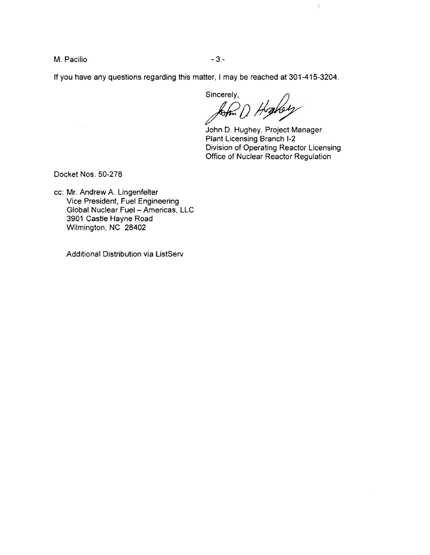M. Pacilio - 3 - 3 -

If you have any questions regarding this matter, I may be reached at 301-415-3204.

sincerely,<br>*pom D Hrake* 

John D. Hughey, Project Manager Plant Licensing Branch 1-2 Division of Operating Reactor Licensing Office of Nuclear Reactor Regulation

 $\mathbf{l}$ 

Docket Nos. 50-278

cc: Mr. Andrew A. Lingenfelter Vice President, Fuel Engineering Global Nuclear Fuel - Americas, LLC 3901 Castle Hayne Road Wilmington, NC 28402

Additional Distribution via ListServ